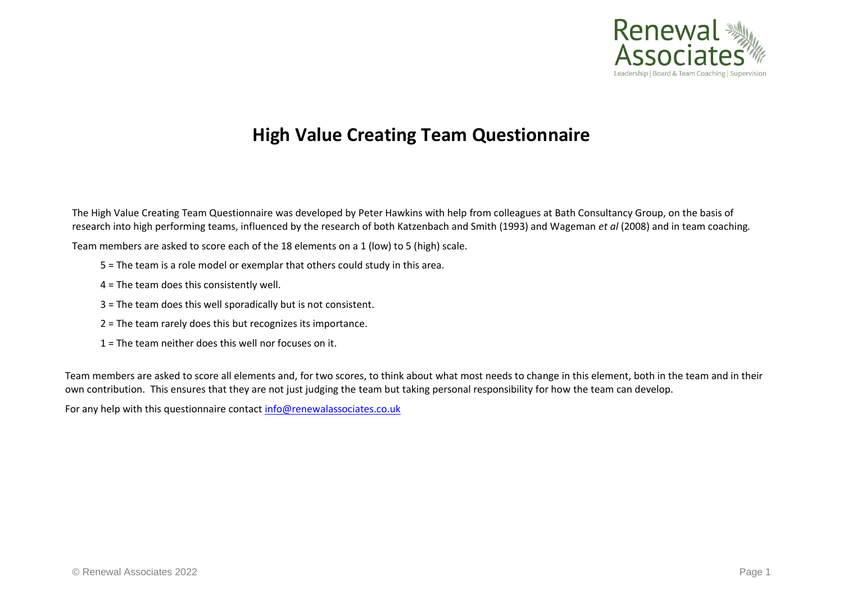

## **High Value Creating Team Questionnaire**

The High Value Creating Team Questionnaire was developed by Peter Hawkins with help from colleagues at Bath Consultancy Group, on the basis of research into high performing teams, influenced by the research of both Katzenbach and Smith (1993) and Wageman *et al* (2008) and in team coaching*.*

Team members are asked to score each of the 18 elements on a 1 (low) to 5 (high) scale.

- 5 = The team is a role model or exemplar that others could study in this area.
- 4 = The team does this consistently well.
- 3 = The team does this well sporadically but is not consistent.
- 2 = The team rarely does this but recognizes its importance.
- 1 = The team neither does this well nor focuses on it.

Team members are asked to score all elements and, for two scores, to think about what most needs to change in this element, both in the team and in their own contribution. This ensures that they are not just judging the team but taking personal responsibility for how the team can develop.

For any help with this questionnaire contact [info@renewalassociates.co.uk](mailto:info@renewalassociates.co.uk)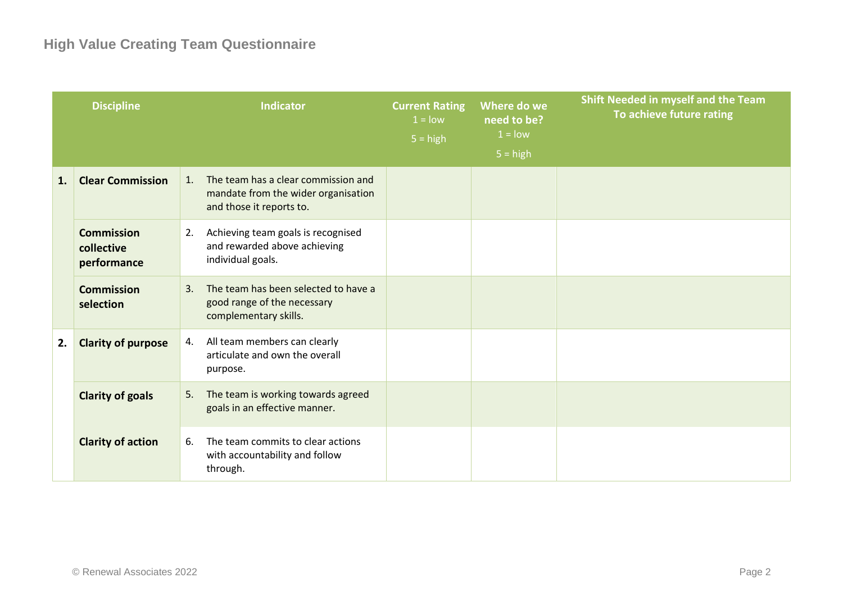|    | <b>Discipline</b>                              | <b>Indicator</b>                                                                                             | <b>Current Rating</b><br>$1 =$ low<br>$5 = high$ | Where do we<br>need to be?<br>$1 =$ low<br>$5 = high$ | <b>Shift Needed in myself and the Team</b><br>To achieve future rating |
|----|------------------------------------------------|--------------------------------------------------------------------------------------------------------------|--------------------------------------------------|-------------------------------------------------------|------------------------------------------------------------------------|
| 1. | <b>Clear Commission</b>                        | The team has a clear commission and<br>1.<br>mandate from the wider organisation<br>and those it reports to. |                                                  |                                                       |                                                                        |
|    | <b>Commission</b><br>collective<br>performance | Achieving team goals is recognised<br>2.<br>and rewarded above achieving<br>individual goals.                |                                                  |                                                       |                                                                        |
|    | <b>Commission</b><br>selection                 | The team has been selected to have a<br>3.<br>good range of the necessary<br>complementary skills.           |                                                  |                                                       |                                                                        |
| 2. | <b>Clarity of purpose</b>                      | All team members can clearly<br>4.<br>articulate and own the overall<br>purpose.                             |                                                  |                                                       |                                                                        |
|    | <b>Clarity of goals</b>                        | The team is working towards agreed<br>5.<br>goals in an effective manner.                                    |                                                  |                                                       |                                                                        |
|    | <b>Clarity of action</b>                       | The team commits to clear actions<br>6.<br>with accountability and follow<br>through.                        |                                                  |                                                       |                                                                        |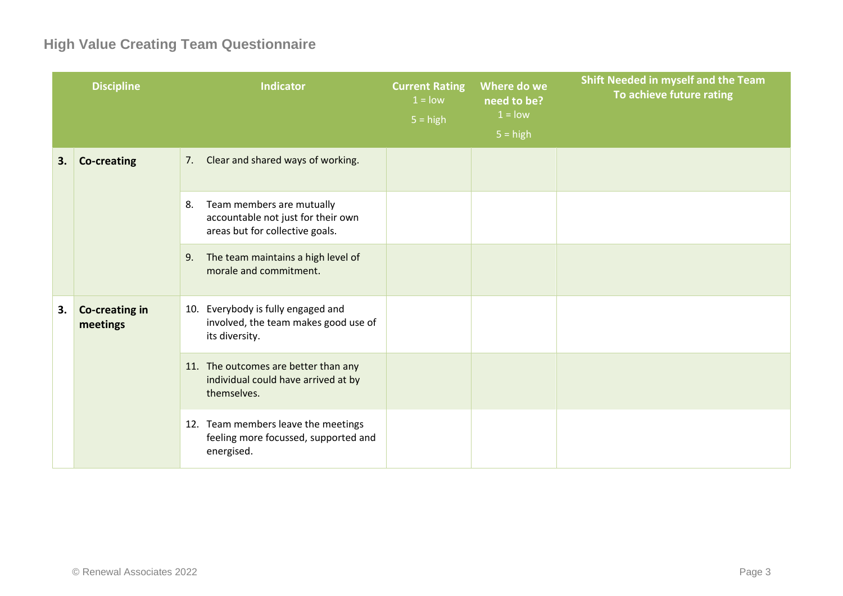## **High Value Creating Team Questionnaire**

|    | <b>Discipline</b>          | <b>Indicator</b>                                                                                         | <b>Current Rating</b><br>$1 =$ low<br>$5 = high$ | Where do we<br>need to be?<br>$1 =$ low | Shift Needed in myself and the Team<br>To achieve future rating |
|----|----------------------------|----------------------------------------------------------------------------------------------------------|--------------------------------------------------|-----------------------------------------|-----------------------------------------------------------------|
|    |                            |                                                                                                          |                                                  | $5 = high$                              |                                                                 |
| 3. | <b>Co-creating</b>         | 7. Clear and shared ways of working.                                                                     |                                                  |                                         |                                                                 |
|    |                            | Team members are mutually<br>8.<br>accountable not just for their own<br>areas but for collective goals. |                                                  |                                         |                                                                 |
|    |                            | The team maintains a high level of<br>9.<br>morale and commitment.                                       |                                                  |                                         |                                                                 |
| 3. | Co-creating in<br>meetings | Everybody is fully engaged and<br>10.<br>involved, the team makes good use of<br>its diversity.          |                                                  |                                         |                                                                 |
|    |                            | 11. The outcomes are better than any<br>individual could have arrived at by<br>themselves.               |                                                  |                                         |                                                                 |
|    |                            | 12. Team members leave the meetings<br>feeling more focussed, supported and<br>energised.                |                                                  |                                         |                                                                 |